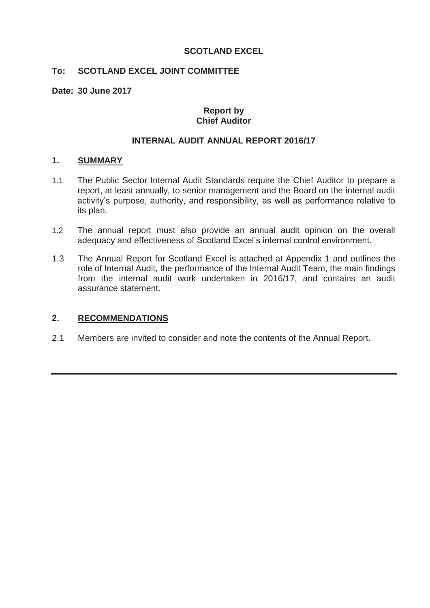# **SCOTLAND EXCEL**

# **To: SCOTLAND EXCEL JOINT COMMITTEE**

**Date: 30 June 2017**

# **Report by Chief Auditor**

# **INTERNAL AUDIT ANNUAL REPORT 2016/17**

#### **1. SUMMARY**

- 1.1 The Public Sector Internal Audit Standards require the Chief Auditor to prepare a report, at least annually, to senior management and the Board on the internal audit activity's purpose, authority, and responsibility, as well as performance relative to its plan.
- 1.2 The annual report must also provide an annual audit opinion on the overall adequacy and effectiveness of Scotland Excel's internal control environment.
- 1.3 The Annual Report for Scotland Excel is attached at Appendix 1 and outlines the role of Internal Audit, the performance of the Internal Audit Team, the main findings from the internal audit work undertaken in 2016/17, and contains an audit assurance statement.

# **2. RECOMMENDATIONS**

2.1 Members are invited to consider and note the contents of the Annual Report.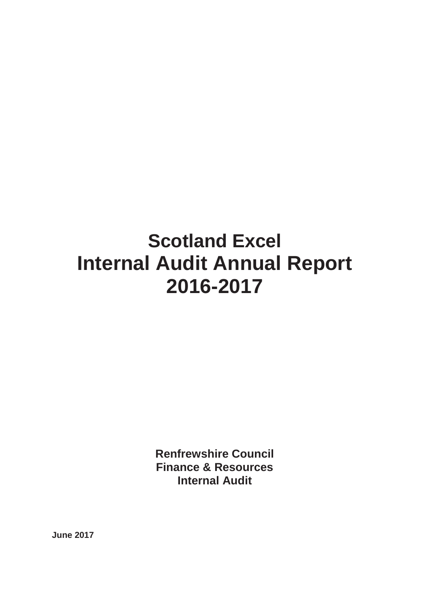# **Scotland Excel Internal Audit Annual Report 2016-2017**

**Renfrewshire Council Finance & Resources Internal Audit** 

**June 2017**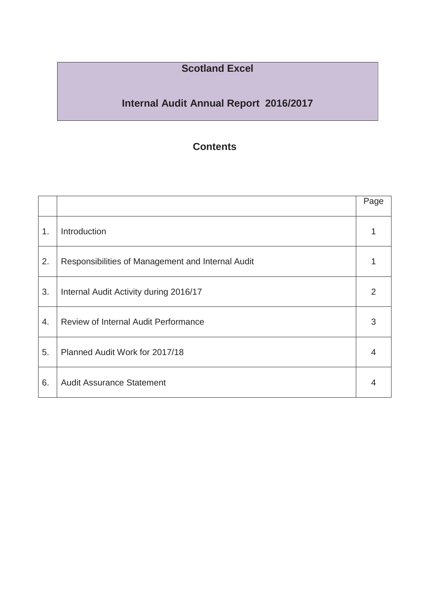# **Scotland Excel**

# **Internal Audit Annual Report 2016/2017**

# **Contents**

|    |                                                   | Page |
|----|---------------------------------------------------|------|
| 1. | Introduction                                      |      |
| 2. | Responsibilities of Management and Internal Audit |      |
| 3. | Internal Audit Activity during 2016/17            | 2    |
| 4. | <b>Review of Internal Audit Performance</b>       | 3    |
| 5. | Planned Audit Work for 2017/18                    | 4    |
| 6. | <b>Audit Assurance Statement</b>                  | 4    |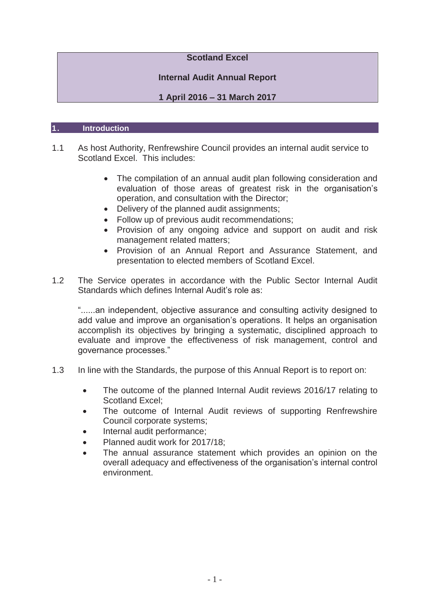# **Scotland Excel**

# **Internal Audit Annual Report**

# **1 April 2016 ± 31 March 2017**

### 1. **Introduction**

- 1.1 As host Authority, Renfrewshire Council provides an internal audit service to Scotland Excel. This includes:
	- The compilation of an annual audit plan following consideration and evaluation of those areas of greatest risk in the organisation's operation, and consultation with the Director;
	- Delivery of the planned audit assignments;
	- Follow up of previous audit recommendations;
	- Provision of any ongoing advice and support on audit and risk management related matters;
	- Provision of an Annual Report and Assurance Statement, and presentation to elected members of Scotland Excel.
- 1.2 The Service operates in accordance with the Public Sector Internal Audit Standards which defines Internal Audit's role as:

"......an independent, objective assurance and consulting activity designed to add value and improve an organisation's operations. It helps an organisation accomplish its objectives by bringing a systematic, disciplined approach to evaluate and improve the effectiveness of risk management, control and governance processes."

- 1.3 In line with the Standards, the purpose of this Annual Report is to report on:
	- The outcome of the planned Internal Audit reviews 2016/17 relating to Scotland Excel:
	- The outcome of Internal Audit reviews of supporting Renfrewshire Council corporate systems;
	- Internal audit performance:
	- Planned audit work for 2017/18:
	- The annual assurance statement which provides an opinion on the overall adequacy and effectiveness of the organisation's internal control environment.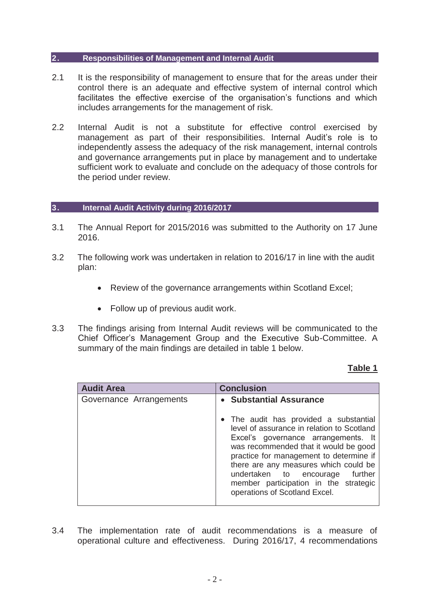#### 2. **Responsibilities of Management and Internal Audit**

- 2.1 It is the responsibility of management to ensure that for the areas under their control there is an adequate and effective system of internal control which facilitates the effective exercise of the organisation's functions and which includes arrangements for the management of risk.
- 2.2 Internal Audit is not a substitute for effective control exercised by management as part of their responsibilities. Internal Audit's role is to independently assess the adequacy of the risk management, internal controls and governance arrangements put in place by management and to undertake sufficient work to evaluate and conclude on the adequacy of those controls for the period under review.

### 3. **Internal Audit Activity during 2016/2017**

- 3.1 The Annual Report for 2015/2016 was submitted to the Authority on 17 June 2016.
- 3.2 The following work was undertaken in relation to 2016/17 in line with the audit plan:
	- Review of the governance arrangements within Scotland Excel;
	- $\bullet$  Follow up of previous audit work.
- 3.3 The findings arising from Internal Audit reviews will be communicated to the Chief Officer's Management Group and the Executive Sub-Committee. A summary of the main findings are detailed in table 1 below.

# **Table 1**

| <b>Audit Area</b>       | <b>Conclusion</b>                                                                                                                                                                                                                                                                                                                                                                                |  |
|-------------------------|--------------------------------------------------------------------------------------------------------------------------------------------------------------------------------------------------------------------------------------------------------------------------------------------------------------------------------------------------------------------------------------------------|--|
| Governance Arrangements | • Substantial Assurance<br>• The audit has provided a substantial<br>level of assurance in relation to Scotland<br>Excel's governance arrangements. It<br>was recommended that it would be good<br>practice for management to determine if<br>there are any measures which could be<br>undertaken to encourage further<br>member participation in the strategic<br>operations of Scotland Excel. |  |

3.4 The implementation rate of audit recommendations is a measure of operational culture and effectiveness. During 2016/17, 4 recommendations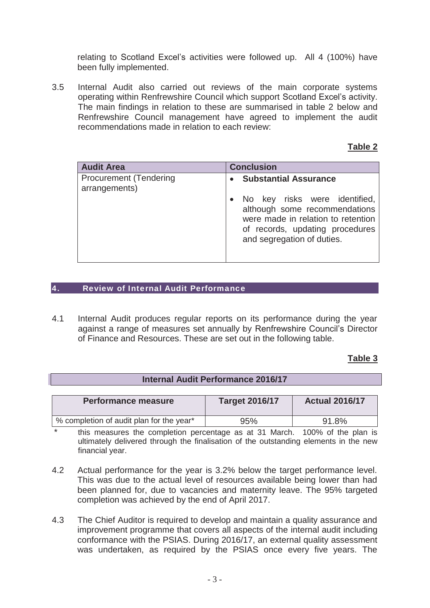relating to Scotland Excel's activities were followed up. All 4 (100%) have been fully implemented.

3.5 Internal Audit also carried out reviews of the main corporate systems operating within Renfrewshire Council which support Scotland Excel's activity. The main findings in relation to these are summarised in table 2 below and Renfrewshire Council management have agreed to implement the audit recommendations made in relation to each review:

### **Table 2**

| <b>Audit Area</b>                              | <b>Conclusion</b>                                                                                                                                                       |  |
|------------------------------------------------|-------------------------------------------------------------------------------------------------------------------------------------------------------------------------|--|
| <b>Procurement (Tendering</b><br>arrangements) | <b>Substantial Assurance</b>                                                                                                                                            |  |
|                                                | • No key risks were identified,<br>although some recommendations<br>were made in relation to retention<br>of records, updating procedures<br>and segregation of duties. |  |

#### 4. Review of Internal Audit Performance

I

4.1 Internal Audit produces regular reports on its performance during the year against a range of measures set annually by Renfrewshire Council's Director of Finance and Resources. These are set out in the following table.

# **Table 3**

| <b>Internal Audit Performance 2016/17</b> |                       |                       |  |  |  |
|-------------------------------------------|-----------------------|-----------------------|--|--|--|
|                                           |                       |                       |  |  |  |
| <b>Performance measure</b>                | <b>Target 2016/17</b> | <b>Actual 2016/17</b> |  |  |  |
|                                           |                       |                       |  |  |  |
| % completion of audit plan for the year*  | 95%                   | 91.8%                 |  |  |  |

this measures the completion percentage as at 31 March. 100% of the plan is ultimately delivered through the finalisation of the outstanding elements in the new financial year.

- 4.2 Actual performance for the year is 3.2% below the target performance level. This was due to the actual level of resources available being lower than had been planned for, due to vacancies and maternity leave. The 95% targeted completion was achieved by the end of April 2017.
- 4.3 The Chief Auditor is required to develop and maintain a quality assurance and improvement programme that covers all aspects of the internal audit including conformance with the PSIAS. During 2016/17, an external quality assessment was undertaken, as required by the PSIAS once every five years. The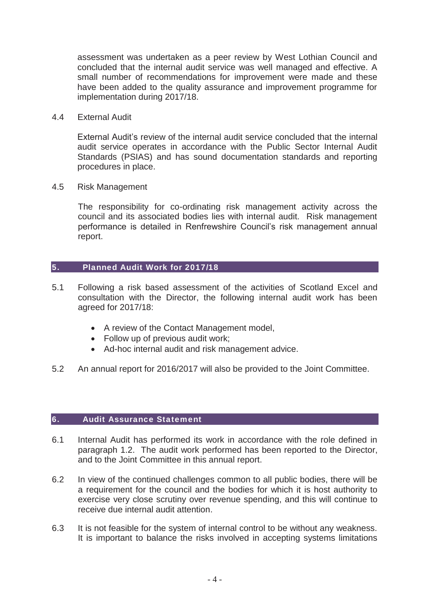assessment was undertaken as a peer review by West Lothian Council and concluded that the internal audit service was well managed and effective. A small number of recommendations for improvement were made and these have been added to the quality assurance and improvement programme for implementation during 2017/18.

4.4 External Audit

External Audit's review of the internal audit service concluded that the internal audit service operates in accordance with the Public Sector Internal Audit Standards (PSIAS) and has sound documentation standards and reporting procedures in place.

4.5 Risk Management

The responsibility for co-ordinating risk management activity across the council and its associated bodies lies with internal audit. Risk management performance is detailed in Renfrewshire Council's risk management annual report.

# 5. Planned Audit Work for 2017/18

- 5.1 Following a risk based assessment of the activities of Scotland Excel and consultation with the Director, the following internal audit work has been agreed for 2017/18:
	- A review of the Contact Management model,
	- $\bullet$  Follow up of previous audit work;
	- Ad-hoc internal audit and risk management advice.
- 5.2 An annual report for 2016/2017 will also be provided to the Joint Committee.

# 6. Audit Assurance Statement

- 6.1 Internal Audit has performed its work in accordance with the role defined in paragraph 1.2. The audit work performed has been reported to the Director, and to the Joint Committee in this annual report.
- 6.2 In view of the continued challenges common to all public bodies, there will be a requirement for the council and the bodies for which it is host authority to exercise very close scrutiny over revenue spending, and this will continue to receive due internal audit attention.
- 6.3 It is not feasible for the system of internal control to be without any weakness. It is important to balance the risks involved in accepting systems limitations